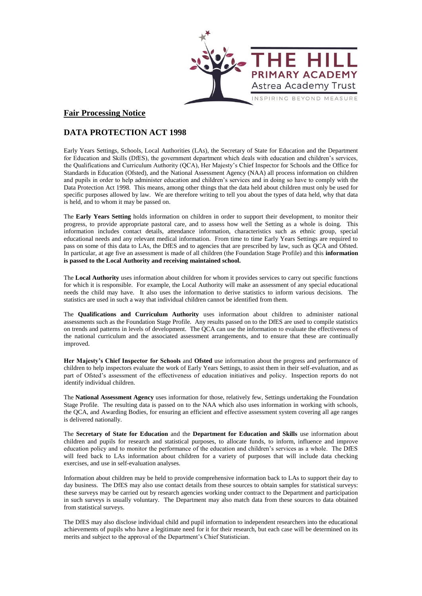

## **Fair Processing Notice**

## **DATA PROTECTION ACT 1998**

Early Years Settings, Schools, Local Authorities (LAs), the Secretary of State for Education and the Department for Education and Skills (DfES), the government department which deals with education and children's services, the Qualifications and Curriculum Authority (QCA), Her Majesty's Chief Inspector for Schools and the Office for Standards in Education (Ofsted), and the National Assessment Agency (NAA) all process information on children and pupils in order to help administer education and children's services and in doing so have to comply with the Data Protection Act 1998. This means, among other things that the data held about children must only be used for specific purposes allowed by law. We are therefore writing to tell you about the types of data held, why that data is held, and to whom it may be passed on.

The **Early Years Setting** holds information on children in order to support their development, to monitor their progress, to provide appropriate pastoral care, and to assess how well the Setting as a whole is doing. This information includes contact details, attendance information, characteristics such as ethnic group, special educational needs and any relevant medical information. From time to time Early Years Settings are required to pass on some of this data to LAs, the DfES and to agencies that are prescribed by law, such as QCA and Ofsted. In particular, at age five an assessment is made of all children (the Foundation Stage Profile) and this **information is passed to the Local Authority and receiving maintained school.**

The **Local Authority** uses information about children for whom it provides services to carry out specific functions for which it is responsible. For example, the Local Authority will make an assessment of any special educational needs the child may have. It also uses the information to derive statistics to inform various decisions. The statistics are used in such a way that individual children cannot be identified from them.

The **Qualifications and Curriculum Authority** uses information about children to administer national assessments such as the Foundation Stage Profile. Any results passed on to the DfES are used to compile statistics on trends and patterns in levels of development. The QCA can use the information to evaluate the effectiveness of the national curriculum and the associated assessment arrangements, and to ensure that these are continually improved.

**Her Majesty's Chief Inspector for Schools** and **Ofsted** use information about the progress and performance of children to help inspectors evaluate the work of Early Years Settings, to assist them in their self-evaluation, and as part of Ofsted's assessment of the effectiveness of education initiatives and policy. Inspection reports do not identify individual children.

The **National Assessment Agency** uses information for those, relatively few, Settings undertaking the Foundation Stage Profile. The resulting data is passed on to the NAA which also uses information in working with schools, the QCA, and Awarding Bodies, for ensuring an efficient and effective assessment system covering all age ranges is delivered nationally.

The **Secretary of State for Education** and the **Department for Education and Skills** use information about children and pupils for research and statistical purposes, to allocate funds, to inform, influence and improve education policy and to monitor the performance of the education and children's services as a whole. The DfES will feed back to LAs information about children for a variety of purposes that will include data checking exercises, and use in self-evaluation analyses.

Information about children may be held to provide comprehensive information back to LAs to support their day to day business. The DfES may also use contact details from these sources to obtain samples for statistical surveys: these surveys may be carried out by research agencies working under contract to the Department and participation in such surveys is usually voluntary. The Department may also match data from these sources to data obtained from statistical surveys.

The DfES may also disclose individual child and pupil information to independent researchers into the educational achievements of pupils who have a legitimate need for it for their research, but each case will be determined on its merits and subject to the approval of the Department's Chief Statistician.